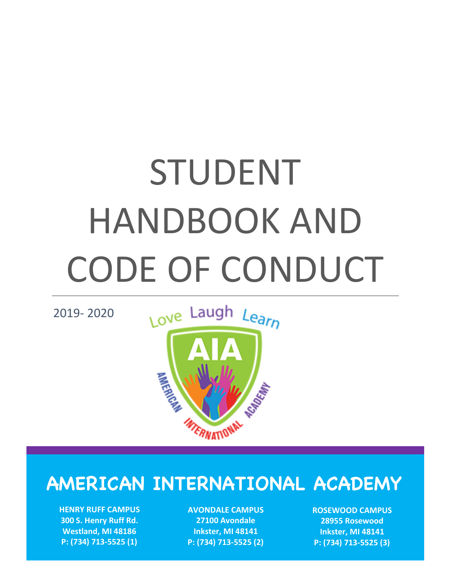# STUDENT HANDBOOK AND CODE OF CONDUCT

2019- 2020



# **AMERICAN INTERNATIONAL ACADEMY**

**HENRY RUFF CAMPUS 300 S. Henry Ruff Rd. Westland, MI 48186 P: (734) 713-5525 (1)**

**AVONDALE CAMPUS 27100 Avondale Inkster, MI 48141 P: (734) 713-5525 (2)** **ROSEWOOD CAMPUS 28955 Rosewood Inkster, MI 48141 P: (734) 713-5525 (3)**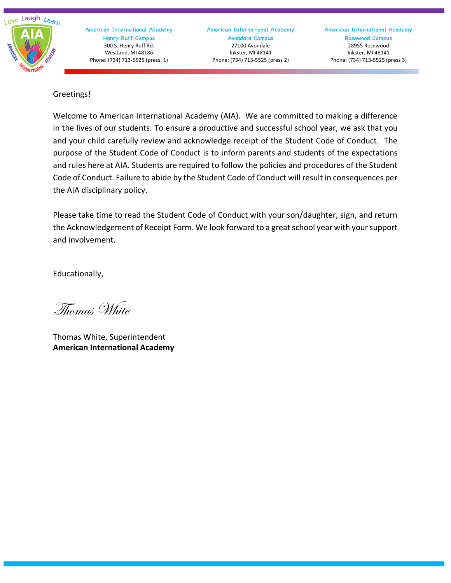

American International Academy Avondale Campus 27100 Avondale Inkster, MI 48141 Phone: (734) 713-5525 (press 2)

Greetings!

Welcome to American International Academy (AIA). We are committed to making a difference in the lives of our students. To ensure a productive and successful school year, we ask that you and your child carefully review and acknowledge receipt of the Student Code of Conduct. The purpose of the Student Code of Conduct is to inform parents and students of the expectations and rules here at AIA. Students are required to follow the policies and procedures of the Student Code of Conduct. Failure to abide by the Student Code of Conduct will result in consequences per the AIA disciplinary policy.

Please take time to read the Student Code of Conduct with your son/daughter, sign, and return the Acknowledgement of Receipt Form. We look forward to a great school year with your support and involvement.

Educationally,

Thomas White

Thomas White, Superintendent **American International Academy**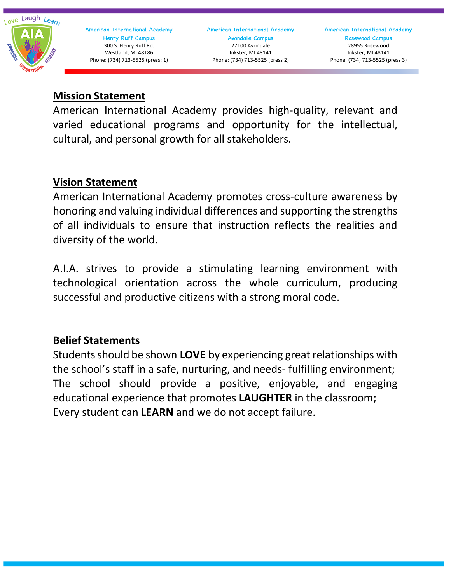

American International Academy Avondale Campus 27100 Avondale Inkster, MI 48141 Phone: (734) 713-5525 (press 2)

American International Academy Rosewood Campus 28955 Rosewood Inkster, MI 48141 Phone: (734) 713-5525 (press 3)

## **Mission Statement**

American International Academy provides high-quality, relevant and varied educational programs and opportunity for the intellectual, cultural, and personal growth for all stakeholders.

# **Vision Statement**

American International Academy promotes cross-culture awareness by honoring and valuing individual differences and supporting the strengths of all individuals to ensure that instruction reflects the realities and diversity of the world.

A.I.A. strives to provide a stimulating learning environment with technological orientation across the whole curriculum, producing successful and productive citizens with a strong moral code.

# **Belief Statements**

Students should be shown LOVE by experiencing great relationships with the school's staff in a safe, nurturing, and needs- fulfilling environment; The school should provide a positive, enjoyable, and engaging educational experience that promotes **LAUGHTER** in the classroom; Every student can **LEARN** and we do not accept failure.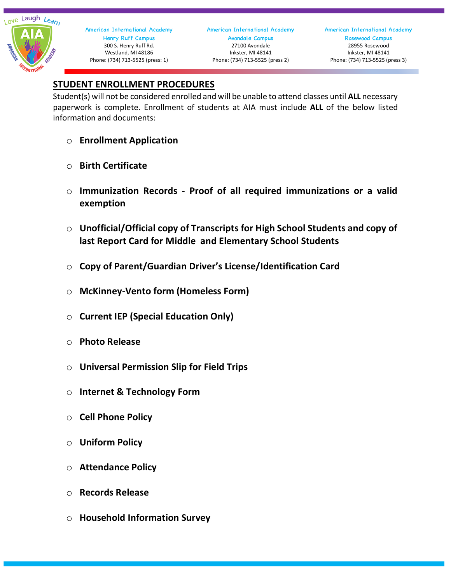

American International Academy Avondale Campus 27100 Avondale Inkster, MI 48141 Phone: (734) 713-5525 (press 2)

American International Academy Rosewood Campus 28955 Rosewood Inkster, MI 48141 Phone: (734) 713-5525 (press 3)

### **STUDENT ENROLLMENT PROCEDURES**

Student(s) will not be considered enrolled and will be unable to attend classes until **ALL** necessary paperwork is complete. Enrollment of students at AIA must include **ALL** of the below listed information and documents:

- o **Enrollment Application**
- o **Birth Certificate**
- o **Immunization Records - Proof of all required immunizations or a valid exemption**
- o **Unofficial/Official copy of Transcripts for High School Students and copy of last Report Card for Middle and Elementary School Students**
- o **Copy of Parent/Guardian Driver's License/Identification Card**
- o **McKinney-Vento form (Homeless Form)**
- o **Current IEP (Special Education Only)**
- o **Photo Release**
- o **Universal Permission Slip for Field Trips**
- o **Internet & Technology Form**
- o **Cell Phone Policy**
- o **Uniform Policy**
- o **Attendance Policy**
- o **Records Release**
- o **Household Information Survey**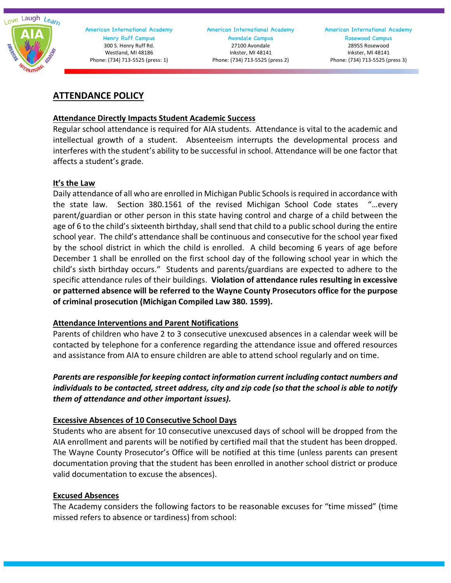

American International Academy Avondale Campus 27100 Avondale Inkster, MI 48141 Phone: (734) 713-5525 (press 2)

#### **ATTENDANCE POLICY**

#### **Attendance Directly Impacts Student Academic Success**

Regular school attendance is required for AIA students. Attendance is vital to the academic and intellectual growth of a student. Absenteeism interrupts the developmental process and interferes with the student's ability to be successful in school. Attendance will be one factor that affects a student's grade.

#### **It's the Law**

Daily attendance of all who are enrolled in Michigan Public Schools is required in accordance with the state law. Section 380.1561 of the revised Michigan School Code states "…every parent/guardian or other person in this state having control and charge of a child between the age of 6 to the child's sixteenth birthday, shall send that child to a public school during the entire school year. The child's attendance shall be continuous and consecutive for the school year fixed by the school district in which the child is enrolled. A child becoming 6 years of age before December 1 shall be enrolled on the first school day of the following school year in which the child's sixth birthday occurs." Students and parents/guardians are expected to adhere to the specific attendance rules of their buildings. **Violation of attendance rules resulting in excessive or patterned absence will be referred to the Wayne County Prosecutors office for the purpose of criminal prosecution (Michigan Compiled Law 380. 1599).**

#### **Attendance Interventions and Parent Notifications**

Parents of children who have 2 to 3 consecutive unexcused absences in a calendar week will be contacted by telephone for a conference regarding the attendance issue and offered resources and assistance from AIA to ensure children are able to attend school regularly and on time.

#### *Parents are responsible for keeping contact information current including contact numbers and individuals to be contacted, street address, city and zip code (so that the school is able to notify them of attendance and other important issues).*

#### **Excessive Absences of 10 Consecutive School Days**

Students who are absent for 10 consecutive unexcused days of school will be dropped from the AIA enrollment and parents will be notified by certified mail that the student has been dropped. The Wayne County Prosecutor's Office will be notified at this time (unless parents can present documentation proving that the student has been enrolled in another school district or produce valid documentation to excuse the absences).

#### **Excused Absences**

The Academy considers the following factors to be reasonable excuses for "time missed" (time missed refers to absence or tardiness) from school: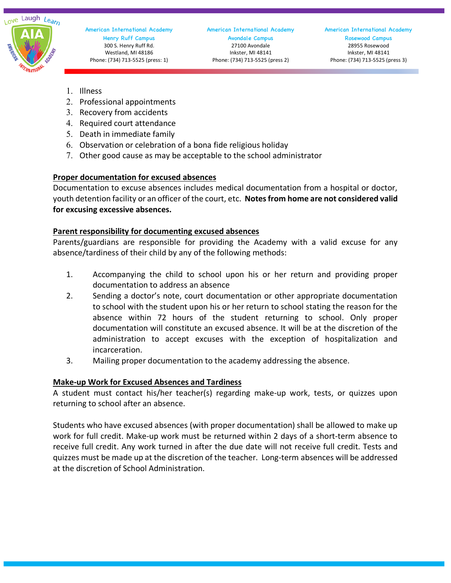

American International Academy Rosewood Campus 28955 Rosewood Inkster, MI 48141 Phone: (734) 713-5525 (press 3)

- 1. Illness
- 2. Professional appointments
- 3. Recovery from accidents
- 4. Required court attendance
- 5. Death in immediate family
- 6. Observation or celebration of a bona fide religious holiday
- 7. Other good cause as may be acceptable to the school administrator

#### **Proper documentation for excused absences**

Documentation to excuse absences includes medical documentation from a hospital or doctor, youth detention facility or an officer of the court, etc. **Notes from home are not considered valid for excusing excessive absences.**

#### **Parent responsibility for documenting excused absences**

Parents/guardians are responsible for providing the Academy with a valid excuse for any absence/tardiness of their child by any of the following methods:

- 1. Accompanying the child to school upon his or her return and providing proper documentation to address an absence
- 2. Sending a doctor's note, court documentation or other appropriate documentation to school with the student upon his or her return to school stating the reason for the absence within 72 hours of the student returning to school. Only proper documentation will constitute an excused absence. It will be at the discretion of the administration to accept excuses with the exception of hospitalization and incarceration.
- 3. Mailing proper documentation to the academy addressing the absence.

#### **Make-up Work for Excused Absences and Tardiness**

A student must contact his/her teacher(s) regarding make-up work, tests, or quizzes upon returning to school after an absence.

Students who have excused absences (with proper documentation) shall be allowed to make up work for full credit. Make-up work must be returned within 2 days of a short-term absence to receive full credit. Any work turned in after the due date will not receive full credit. Tests and quizzes must be made up at the discretion of the teacher. Long-term absences will be addressed at the discretion of School Administration.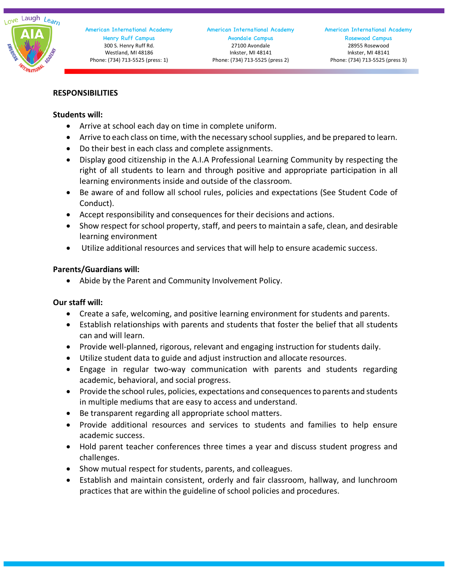

#### **RESPONSIBILITIES**

#### **Students will:**

- Arrive at school each day on time in complete uniform.
- Arrive to each class on time, with the necessary school supplies, and be prepared to learn.
- Do their best in each class and complete assignments.
- Display good citizenship in the A.I.A Professional Learning Community by respecting the right of all students to learn and through positive and appropriate participation in all learning environments inside and outside of the classroom.
- Be aware of and follow all school rules, policies and expectations (See Student Code of Conduct).
- Accept responsibility and consequences for their decisions and actions.
- Show respect for school property, staff, and peers to maintain a safe, clean, and desirable learning environment
- Utilize additional resources and services that will help to ensure academic success.

#### **Parents/Guardians will:**

• Abide by the Parent and Community Involvement Policy.

#### **Our staff will:**

- Create a safe, welcoming, and positive learning environment for students and parents.
- Establish relationships with parents and students that foster the belief that all students can and will learn.
- Provide well-planned, rigorous, relevant and engaging instruction for students daily.
- Utilize student data to guide and adjust instruction and allocate resources.
- Engage in regular two-way communication with parents and students regarding academic, behavioral, and social progress.
- Provide the school rules, policies, expectations and consequences to parents and students in multiple mediums that are easy to access and understand.
- Be transparent regarding all appropriate school matters.
- Provide additional resources and services to students and families to help ensure academic success.
- Hold parent teacher conferences three times a year and discuss student progress and challenges.
- Show mutual respect for students, parents, and colleagues.
- Establish and maintain consistent, orderly and fair classroom, hallway, and lunchroom practices that are within the guideline of school policies and procedures.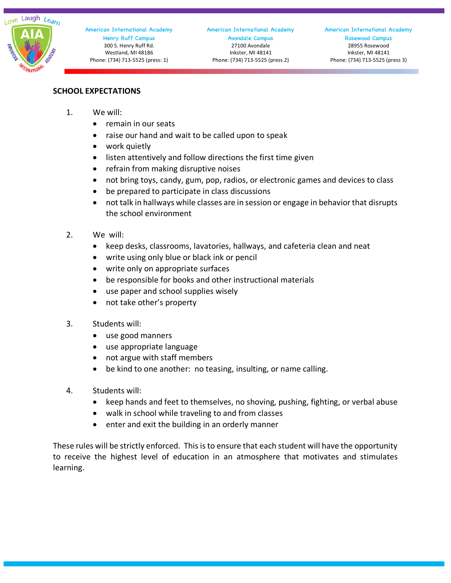#### **SCHOOL EXPECTATIONS**

- 1. We will:
	- remain in our seats
	- raise our hand and wait to be called upon to speak
	- work quietly
	- listen attentively and follow directions the first time given
	- refrain from making disruptive noises
	- not bring toys, candy, gum, pop, radios, or electronic games and devices to class
	- be prepared to participate in class discussions
	- not talk in hallways while classes are in session or engage in behavior that disrupts the school environment
- 2. We will:
	- keep desks, classrooms, lavatories, hallways, and cafeteria clean and neat
	- write using only blue or black ink or pencil
	- write only on appropriate surfaces
	- be responsible for books and other instructional materials
	- use paper and school supplies wisely
	- not take other's property
- 3. Students will:
	- use good manners
	- use appropriate language
	- not argue with staff members
	- be kind to one another: no teasing, insulting, or name calling.
- 4. Students will:
	- keep hands and feet to themselves, no shoving, pushing, fighting, or verbal abuse
	- walk in school while traveling to and from classes
	- enter and exit the building in an orderly manner

These rules will be strictly enforced. This is to ensure that each student will have the opportunity to receive the highest level of education in an atmosphere that motivates and stimulates learning.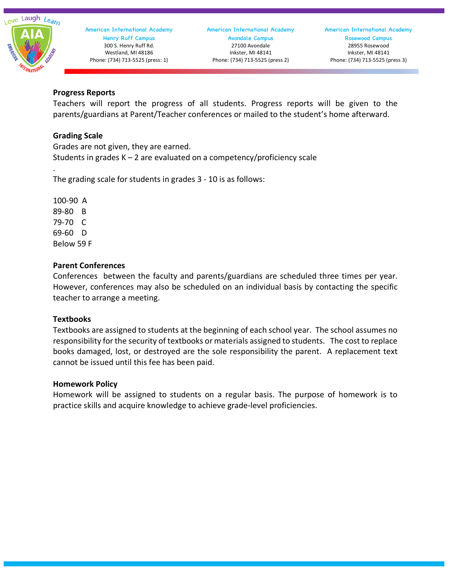

#### American International Academy Avondale Campus 27100 Avondale Inkster, MI 48141 Phone: (734) 713-5525 (press 2)

American International Academy Rosewood Campus 28955 Rosewood Inkster, MI 48141 Phone: (734) 713-5525 (press 3)

#### **Progress Reports**

Teachers will report the progress of all students. Progress reports will be given to the parents/guardians at Parent/Teacher conferences or mailed to the student's home afterward.

#### **Grading Scale**

Grades are not given, they are earned. Students in grades K – 2 are evaluated on a competency/proficiency scale

The grading scale for students in grades 3 - 10 is as follows:

100-90 A 89-80 B 79-70 C 69-60 D Below 59 F

.

#### **Parent Conferences**

Conferences between the faculty and parents/guardians are scheduled three times per year. However, conferences may also be scheduled on an individual basis by contacting the specific teacher to arrange a meeting.

#### **Textbooks**

Textbooks are assigned to students at the beginning of each school year. The school assumes no responsibility for the security of textbooks or materials assigned to students. The cost to replace books damaged, lost, or destroyed are the sole responsibility the parent. A replacement text cannot be issued until this fee has been paid.

#### **Homework Policy**

Homework will be assigned to students on a regular basis. The purpose of homework is to practice skills and acquire knowledge to achieve grade-level proficiencies.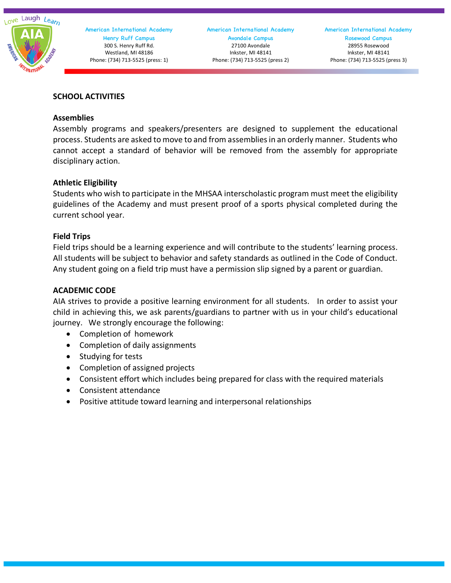

#### **SCHOOL ACTIVITIES**

#### **Assemblies**

Assembly programs and speakers/presenters are designed to supplement the educational process. Students are asked to move to and from assemblies in an orderly manner. Students who cannot accept a standard of behavior will be removed from the assembly for appropriate disciplinary action.

#### **Athletic Eligibility**

Students who wish to participate in the MHSAA interscholastic program must meet the eligibility guidelines of the Academy and must present proof of a sports physical completed during the current school year.

#### **Field Trips**

Field trips should be a learning experience and will contribute to the students' learning process. All students will be subject to behavior and safety standards as outlined in the Code of Conduct. Any student going on a field trip must have a permission slip signed by a parent or guardian.

#### **ACADEMIC CODE**

AIA strives to provide a positive learning environment for all students. In order to assist your child in achieving this, we ask parents/guardians to partner with us in your child's educational journey. We strongly encourage the following:

- Completion of homework
- Completion of daily assignments
- Studying for tests
- Completion of assigned projects
- Consistent effort which includes being prepared for class with the required materials
- Consistent attendance
- Positive attitude toward learning and interpersonal relationships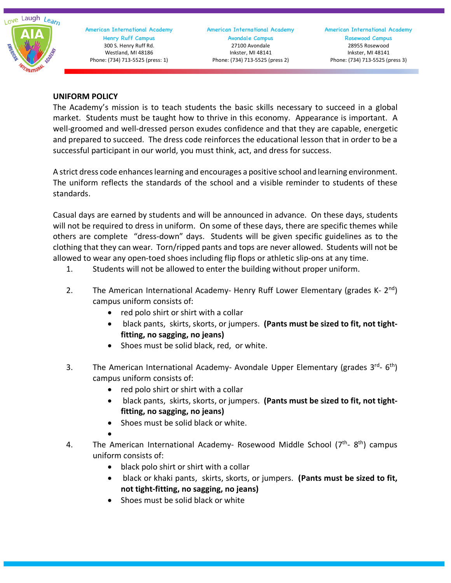Love Laugh Learn

 American International Academy Henry Ruff Campus 300 S. Henry Ruff Rd. Westland, MI 48186 Phone: (734) 713-5525 (press: 1)

American International Academy Avondale Campus 27100 Avondale Inkster, MI 48141 Phone: (734) 713-5525 (press 2)

American International Academy Rosewood Campus 28955 Rosewood Inkster, MI 48141 Phone: (734) 713-5525 (press 3)

#### **UNIFORM POLICY**

The Academy's mission is to teach students the basic skills necessary to succeed in a global market. Students must be taught how to thrive in this economy. Appearance is important. A well-groomed and well-dressed person exudes confidence and that they are capable, energetic and prepared to succeed. The dress code reinforces the educational lesson that in order to be a successful participant in our world, you must think, act, and dress for success.

A strict dress code enhances learning and encourages a positive school and learning environment. The uniform reflects the standards of the school and a visible reminder to students of these standards.

Casual days are earned by students and will be announced in advance. On these days, students will not be required to dress in uniform. On some of these days, there are specific themes while others are complete "dress-down" days. Students will be given specific guidelines as to the clothing that they can wear. Torn/ripped pants and tops are never allowed. Students will not be allowed to wear any open-toed shoes including flip flops or athletic slip-ons at any time.

- 1. Students will not be allowed to enter the building without proper uniform.
- 2. The American International Academy- Henry Ruff Lower Elementary (grades K-  $2^{nd}$ ) campus uniform consists of:
	- red polo shirt or shirt with a collar
	- black pants, skirts, skorts, or jumpers. **(Pants must be sized to fit, not tightfitting, no sagging, no jeans)**
	- Shoes must be solid black, red, or white.
- 3. The American International Academy- Avondale Upper Elementary (grades  $3^{rd}$  6<sup>th</sup>) campus uniform consists of:
	- red polo shirt or shirt with a collar
	- black pants, skirts, skorts, or jumpers. **(Pants must be sized to fit, not tightfitting, no sagging, no jeans)**
	- Shoes must be solid black or white.
	- •
- 4. The American International Academy- Rosewood Middle School (7<sup>th</sup>-8<sup>th</sup>) campus uniform consists of:
	- black polo shirt or shirt with a collar
	- black or khaki pants, skirts, skorts, or jumpers. **(Pants must be sized to fit, not tight-fitting, no sagging, no jeans)**
	- Shoes must be solid black or white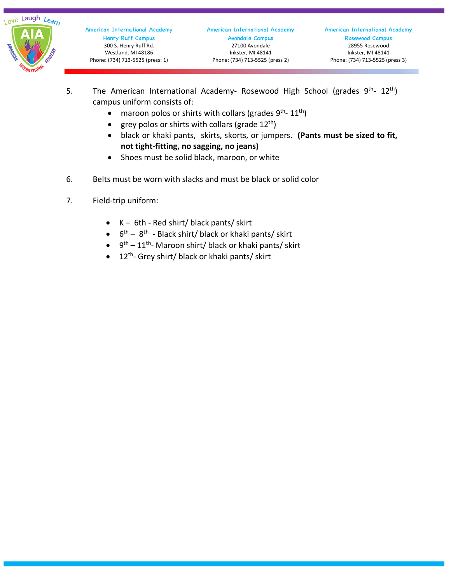

- 5. The American International Academy- Rosewood High School (grades 9<sup>th</sup>- 12<sup>th</sup>) campus uniform consists of:
	- maroon polos or shirts with collars (grades  $9^{th}$   $11^{th}$ )
	- grey polos or shirts with collars (grade  $12^{th}$ )
	- black or khaki pants, skirts, skorts, or jumpers. **(Pants must be sized to fit, not tight-fitting, no sagging, no jeans)**
	- Shoes must be solid black, maroon, or white
- 6. Belts must be worn with slacks and must be black or solid color
- 7. Field-trip uniform:
	- $\bullet$  K 6th Red shirt/ black pants/ skirt
	- $\bullet$  6<sup>th</sup> 8<sup>th</sup> Black shirt/ black or khaki pants/ skirt
	- $\bullet$  9<sup>th</sup> 11<sup>th</sup>-Maroon shirt/ black or khaki pants/ skirt
	- $\bullet$  12<sup>th</sup>- Grey shirt/ black or khaki pants/ skirt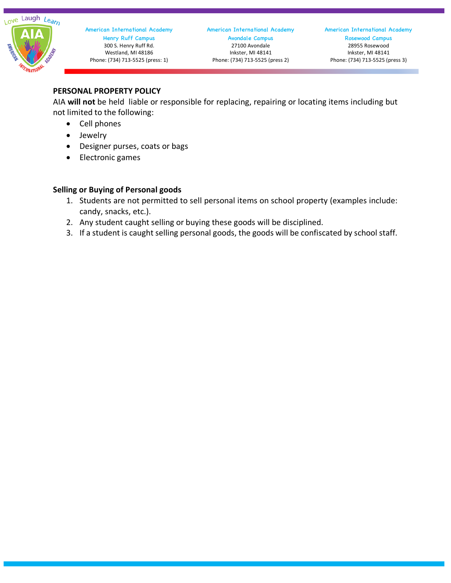

#### **PERSONAL PROPERTY POLICY**

AIA **will not** be held liable or responsible for replacing, repairing or locating items including but not limited to the following:

- Cell phones
- Jewelry
- Designer purses, coats or bags
- Electronic games

#### **Selling or Buying of Personal goods**

- 1. Students are not permitted to sell personal items on school property (examples include: candy, snacks, etc.).
- 2. Any student caught selling or buying these goods will be disciplined.
- 3. If a student is caught selling personal goods, the goods will be confiscated by school staff.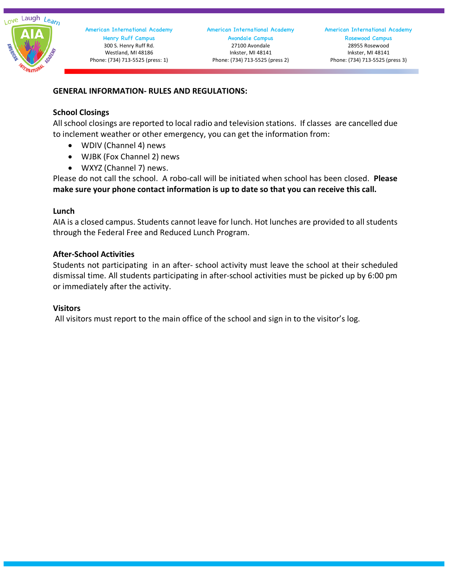

American International Academy Avondale Campus 27100 Avondale Inkster, MI 48141 Phone: (734) 713-5525 (press 2)

#### **GENERAL INFORMATION- RULES AND REGULATIONS:**

#### **School Closings**

All school closings are reported to local radio and television stations. If classes are cancelled due to inclement weather or other emergency, you can get the information from:

- WDIV (Channel 4) news
- WJBK (Fox Channel 2) news
- WXYZ (Channel 7) news.

Please do not call the school. A robo-call will be initiated when school has been closed. **Please make sure your phone contact information is up to date so that you can receive this call.**

#### **Lunch**

AIA is a closed campus. Students cannot leave for lunch. Hot lunches are provided to all students through the Federal Free and Reduced Lunch Program.

#### **After-School Activities**

Students not participating in an after- school activity must leave the school at their scheduled dismissal time. All students participating in after-school activities must be picked up by 6:00 pm or immediately after the activity.

#### **Visitors**

All visitors must report to the main office of the school and sign in to the visitor's log.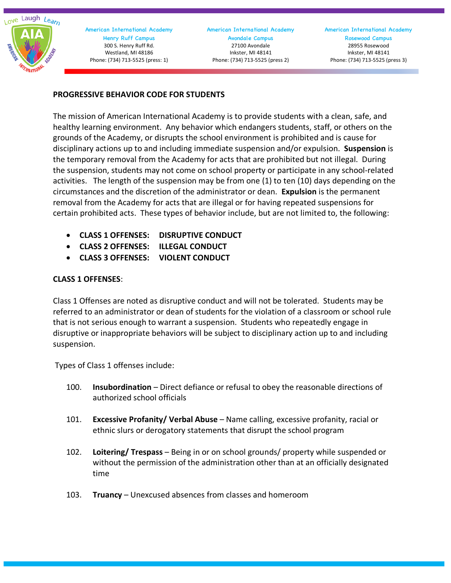Love Laugh Learn

 American International Academy Henry Ruff Campus 300 S. Henry Ruff Rd. Westland, MI 48186 Phone: (734) 713-5525 (press: 1)

#### American International Academy Avondale Campus 27100 Avondale Inkster, MI 48141 Phone: (734) 713-5525 (press 2)

American International Academy Rosewood Campus 28955 Rosewood Inkster, MI 48141 Phone: (734) 713-5525 (press 3)

#### **PROGRESSIVE BEHAVIOR CODE FOR STUDENTS**

The mission of American International Academy is to provide students with a clean, safe, and healthy learning environment. Any behavior which endangers students, staff, or others on the grounds of the Academy, or disrupts the school environment is prohibited and is cause for disciplinary actions up to and including immediate suspension and/or expulsion. **Suspension** is the temporary removal from the Academy for acts that are prohibited but not illegal. During the suspension, students may not come on school property or participate in any school-related activities. The length of the suspension may be from one (1) to ten (10) days depending on the circumstances and the discretion of the administrator or dean. **Expulsion** is the permanent removal from the Academy for acts that are illegal or for having repeated suspensions for certain prohibited acts. These types of behavior include, but are not limited to, the following:

- **CLASS 1 OFFENSES: DISRUPTIVE CONDUCT**
- **CLASS 2 OFFENSES: ILLEGAL CONDUCT**
- **CLASS 3 OFFENSES: VIOLENT CONDUCT**

#### **CLASS 1 OFFENSES**:

Class 1 Offenses are noted as disruptive conduct and will not be tolerated. Students may be referred to an administrator or dean of students for the violation of a classroom or school rule that is not serious enough to warrant a suspension. Students who repeatedly engage in disruptive or inappropriate behaviors will be subject to disciplinary action up to and including suspension.

Types of Class 1 offenses include:

- 100. **Insubordination** Direct defiance or refusal to obey the reasonable directions of authorized school officials
- 101. **Excessive Profanity/ Verbal Abuse** Name calling, excessive profanity, racial or ethnic slurs or derogatory statements that disrupt the school program
- 102. **Loitering/ Trespass** Being in or on school grounds/ property while suspended or without the permission of the administration other than at an officially designated time
- 103. **Truancy** Unexcused absences from classes and homeroom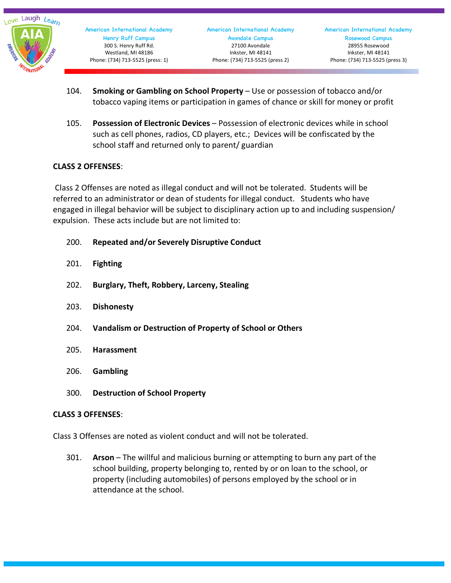

- 104. **Smoking or Gambling on School Property** Use or possession of tobacco and/or tobacco vaping items or participation in games of chance or skill for money or profit
- 105. **Possession of Electronic Devices** Possession of electronic devices while in school such as cell phones, radios, CD players, etc.; Devices will be confiscated by the school staff and returned only to parent/ guardian

#### **CLASS 2 OFFENSES**:

Class 2 Offenses are noted as illegal conduct and will not be tolerated. Students will be referred to an administrator or dean of students for illegal conduct. Students who have engaged in illegal behavior will be subject to disciplinary action up to and including suspension/ expulsion. These acts include but are not limited to:

- 200. **Repeated and/or Severely Disruptive Conduct**
- 201. **Fighting**
- 202. **Burglary, Theft, Robbery, Larceny, Stealing**
- 203. **Dishonesty**
- 204. **Vandalism or Destruction of Property of School or Others**
- 205. **Harassment**
- 206. **Gambling**
- 300. **Destruction of School Property**

#### **CLASS 3 OFFENSES**:

Class 3 Offenses are noted as violent conduct and will not be tolerated.

301. **Arson** – The willful and malicious burning or attempting to burn any part of the school building, property belonging to, rented by or on loan to the school, or property (including automobiles) of persons employed by the school or in attendance at the school.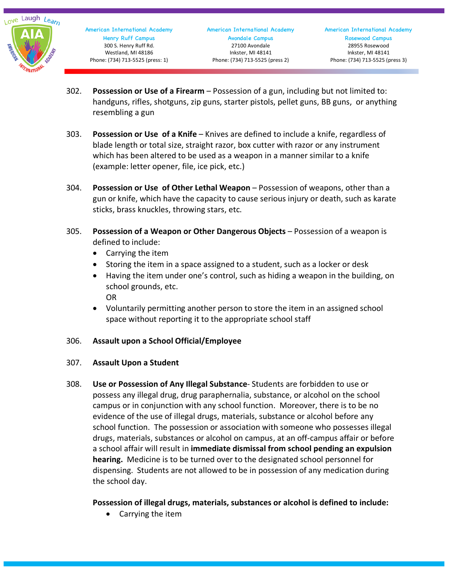

- 302. **Possession or Use of a Firearm** Possession of a gun, including but not limited to: handguns, rifles, shotguns, zip guns, starter pistols, pellet guns, BB guns, or anything resembling a gun
- 303. **Possession or Use of a Knife** Knives are defined to include a knife, regardless of blade length or total size, straight razor, box cutter with razor or any instrument which has been altered to be used as a weapon in a manner similar to a knife (example: letter opener, file, ice pick, etc.)
- 304. **Possession or Use of Other Lethal Weapon** Possession of weapons, other than a gun or knife, which have the capacity to cause serious injury or death, such as karate sticks, brass knuckles, throwing stars, etc.
- 305. **Possession of a Weapon or Other Dangerous Objects** Possession of a weapon is defined to include:
	- Carrying the item
	- Storing the item in a space assigned to a student, such as a locker or desk
	- Having the item under one's control, such as hiding a weapon in the building, on school grounds, etc. OR
	- Voluntarily permitting another person to store the item in an assigned school space without reporting it to the appropriate school staff

#### 306. **Assault upon a School Official/Employee**

#### 307. **Assault Upon a Student**

308. **Use or Possession of Any Illegal Substance**- Students are forbidden to use or possess any illegal drug, drug paraphernalia, substance, or alcohol on the school campus or in conjunction with any school function. Moreover, there is to be no evidence of the use of illegal drugs, materials, substance or alcohol before any school function. The possession or association with someone who possesses illegal drugs, materials, substances or alcohol on campus, at an off-campus affair or before a school affair will result in **immediate dismissal from school pending an expulsion hearing.** Medicine is to be turned over to the designated school personnel for dispensing. Students are not allowed to be in possession of any medication during the school day.

#### **Possession of illegal drugs, materials, substances or alcohol is defined to include:**

• Carrying the item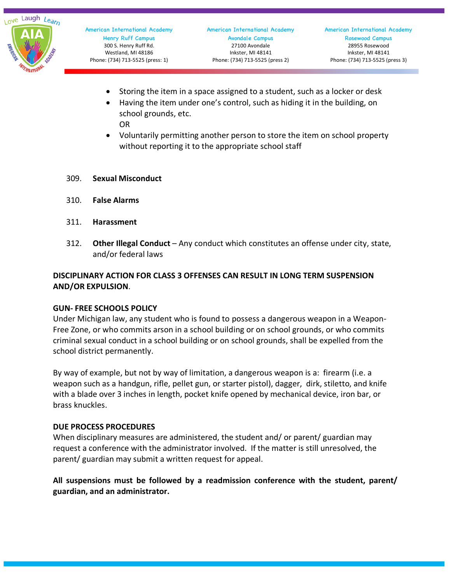

- Storing the item in a space assigned to a student, such as a locker or desk
- Having the item under one's control, such as hiding it in the building, on school grounds, etc. OR
- Voluntarily permitting another person to store the item on school property without reporting it to the appropriate school staff
- 309. **Sexual Misconduct**
- 310. **False Alarms**
- 311. **Harassment**
- 312. **Other Illegal Conduct** Any conduct which constitutes an offense under city, state, and/or federal laws

#### **DISCIPLINARY ACTION FOR CLASS 3 OFFENSES CAN RESULT IN LONG TERM SUSPENSION AND/OR EXPULSION**.

#### **GUN- FREE SCHOOLS POLICY**

Under Michigan law, any student who is found to possess a dangerous weapon in a Weapon-Free Zone, or who commits arson in a school building or on school grounds, or who commits criminal sexual conduct in a school building or on school grounds, shall be expelled from the school district permanently.

By way of example, but not by way of limitation, a dangerous weapon is a: firearm (i.e. a weapon such as a handgun, rifle, pellet gun, or starter pistol), dagger, dirk, stiletto, and knife with a blade over 3 inches in length, pocket knife opened by mechanical device, iron bar, or brass knuckles.

#### **DUE PROCESS PROCEDURES**

When disciplinary measures are administered, the student and/ or parent/ guardian may request a conference with the administrator involved. If the matter is still unresolved, the parent/ guardian may submit a written request for appeal.

**All suspensions must be followed by a readmission conference with the student, parent/ guardian, and an administrator.**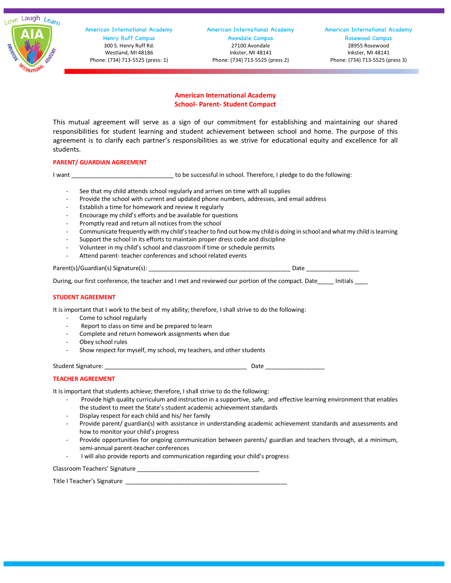Love Laugh Learn



 American International Academy Henry Ruff Campus 300 S. Henry Ruff Rd. Westland, MI 48186 Phone: (734) 713-5525 (press: 1)

American International Academy Avondale Campus 27100 Avondale Inkster, MI 48141 Phone: (734) 713-5525 (press 2)

American International Academy Rosewood Campus 28955 Rosewood Inkster, MI 48141 Phone: (734) 713-5525 (press 3)

#### **American International Academy School- Parent- Student Compact**

This mutual agreement will serve as a sign of our commitment for establishing and maintaining our shared responsibilities for student learning and student achievement between school and home. The purpose of this agreement is to clarify each partner's responsibilities as we strive for educational equity and excellence for all students.

#### **PARENT/ GUARDIAN AGREEMENT**

I want **I want** to be successful in school. Therefore, I pledge to do the following:

- See that my child attends school regularly and arrives on time with all supplies
- Provide the school with current and updated phone numbers, addresses, and email address
- Establish a time for homework and review it regularly
- Encourage my child's efforts and be available for questions
- Promptly read and return all notices from the school
- Communicate frequently with my child's teacher to find out howmy child is doing in school and what my child is learning
- Support the school in its efforts to maintain proper dress code and discipline
- Volunteer in my child's school and classroom if time or schedule permits
- Attend parent- teacher conferences and school related events

Parent(s)/Guardian(s) Signature(s): \_\_\_\_\_\_\_\_\_\_\_\_\_\_\_\_\_\_\_\_\_\_\_\_\_\_\_\_\_\_\_\_\_\_\_\_\_\_\_\_\_\_\_ Date \_\_\_\_\_\_\_\_\_\_\_\_\_\_\_\_

During, our first conference, the teacher and I met and reviewed our portion of the compact. Date linitials

#### **STUDENT AGREEMENT**

It is important that I work to the best of my ability; therefore, I shall strive to do the following:

- Come to school regularly
- Report to class on time and be prepared to learn
- Complete and return homework assignments when due
- Obey school rules
- Show respect for myself, my school, my teachers, and other students

Student Signature: \_\_\_\_\_\_\_\_\_\_\_\_\_\_\_\_\_\_\_\_\_\_\_\_\_\_\_\_\_\_\_\_\_\_\_\_\_\_\_\_\_\_\_ Date \_\_\_\_\_\_\_\_\_\_\_\_\_\_\_\_\_\_

#### **TEACHER AGREEMENT**

It is important that students achieve; therefore, I shall strive to do the following:

- Provide high quality curriculum and instruction in a supportive, safe, and effective learning environment that enables the student to meet the State's student academic achievement standards
- Display respect for each child and his/ her family
- Provide parent/ guardian(s) with assistance in understanding academic achievement standards and assessments and how to monitor your child's progress
- Provide opportunities for ongoing communication between parents/ guardian and teachers through, at a minimum, semi-annual parent-teacher conferences
- I will also provide reports and communication regarding your child's progress

Classroom Teachers' Signature \_\_\_\_\_\_\_\_\_\_\_\_\_\_\_\_\_\_\_\_\_\_\_\_\_\_\_\_\_\_\_\_\_\_\_\_\_

| Title I Teacher's Signature |  |
|-----------------------------|--|
|                             |  |